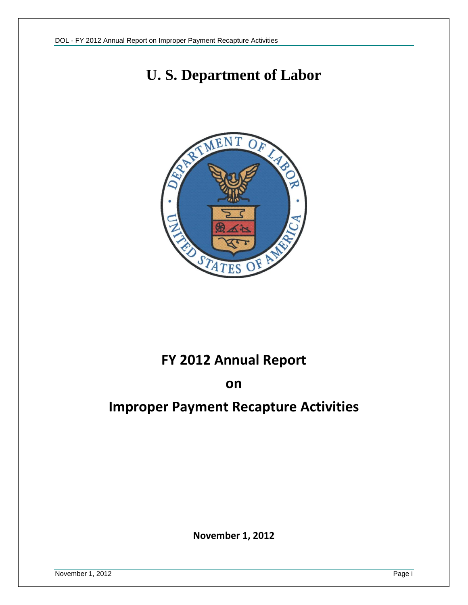# **U. S. Department of Labor**



# **FY 2012 Annual Report**

### **on**

# **Improper Payment Recapture Activities**

**November 1, 2012**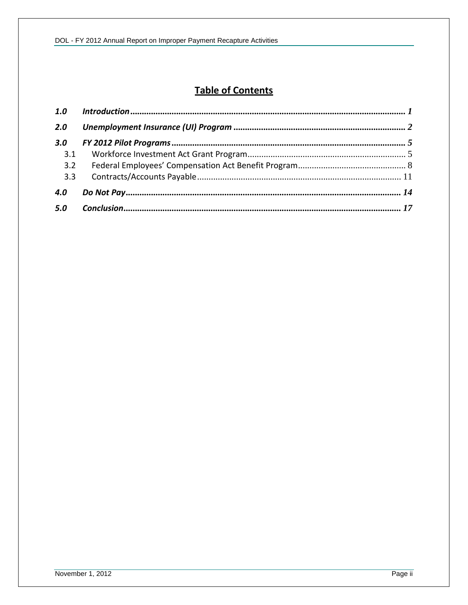# **Table of Contents**

| 1.0 |  |
|-----|--|
| 2.0 |  |
| 3.0 |  |
| 3.1 |  |
| 3.2 |  |
| 3.3 |  |
| 4.0 |  |
| 5.0 |  |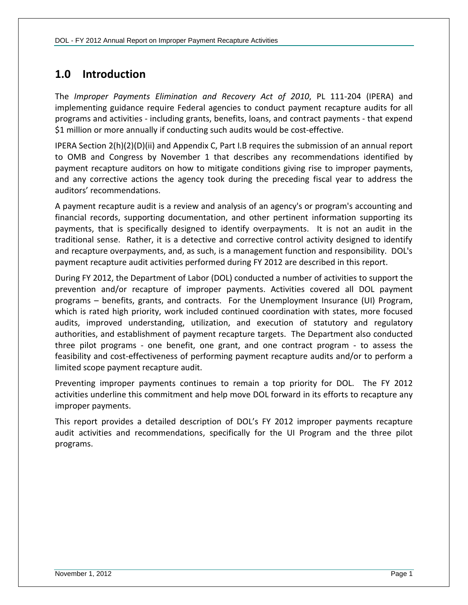# <span id="page-2-0"></span>**1.0 Introduction**

The *Improper Payments Elimination and Recovery Act of 2010*, PL 111-204 (IPERA) and implementing guidance require Federal agencies to conduct payment recapture audits for all programs and activities - including grants, benefits, loans, and contract payments - that expend \$1 million or more annually if conducting such audits would be cost-effective.

IPERA Section 2(h)(2)(D)(ii) and Appendix C, Part I.B requires the submission of an annual report to OMB and Congress by November 1 that describes any recommendations identified by payment recapture auditors on how to mitigate conditions giving rise to improper payments, and any corrective actions the agency took during the preceding fiscal year to address the auditors' recommendations.

A payment recapture audit is a review and analysis of an agency's or program's accounting and financial records, supporting documentation, and other pertinent information supporting its payments, that is specifically designed to identify overpayments. It is not an audit in the traditional sense. Rather, it is a detective and corrective control activity designed to identify and recapture overpayments, and, as such, is a management function and responsibility. DOL's payment recapture audit activities performed during FY 2012 are described in this report.

During FY 2012, the Department of Labor (DOL) conducted a number of activities to support the prevention and/or recapture of improper payments. Activities covered all DOL payment programs – benefits, grants, and contracts. For the Unemployment Insurance (UI) Program, which is rated high priority, work included continued coordination with states, more focused audits, improved understanding, utilization, and execution of statutory and regulatory authorities, and establishment of payment recapture targets. The Department also conducted three pilot programs - one benefit, one grant, and one contract program - to assess the feasibility and cost-effectiveness of performing payment recapture audits and/or to perform a limited scope payment recapture audit.

Preventing improper payments continues to remain a top priority for DOL. The FY 2012 activities underline this commitment and help move DOL forward in its efforts to recapture any improper payments.

This report provides a detailed description of DOL's FY 2012 improper payments recapture audit activities and recommendations, specifically for the UI Program and the three pilot programs.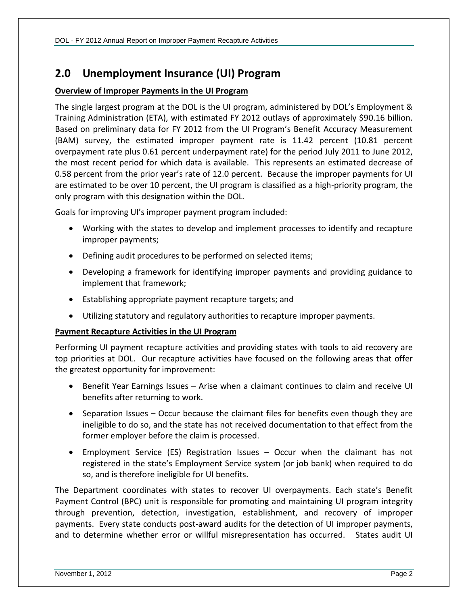## <span id="page-3-0"></span>**2.0 Unemployment Insurance (UI) Program**

#### **Overview of Improper Payments in the UI Program**

The single largest program at the DOL is the UI program, administered by DOL's Employment & Training Administration (ETA), with estimated FY 2012 outlays of approximately \$90.16 billion. Based on preliminary data for FY 2012 from the UI Program's Benefit Accuracy Measurement (BAM) survey, the estimated improper payment rate is 11.42 percent (10.81 percent overpayment rate plus 0.61 percent underpayment rate) for the period July 2011 to June 2012, the most recent period for which data is available. This represents an estimated decrease of 0.58 percent from the prior year's rate of 12.0 percent. Because the improper payments for UI are estimated to be over 10 percent, the UI program is classified as a high-priority program, the only program with this designation within the DOL.

Goals for improving UI's improper payment program included:

- Working with the states to develop and implement processes to identify and recapture improper payments;
- Defining audit procedures to be performed on selected items;
- Developing a framework for identifying improper payments and providing guidance to implement that framework;
- Establishing appropriate payment recapture targets; and
- Utilizing statutory and regulatory authorities to recapture improper payments.

#### **Payment Recapture Activities in the UI Program**

Performing UI payment recapture activities and providing states with tools to aid recovery are top priorities at DOL. Our recapture activities have focused on the following areas that offer the greatest opportunity for improvement:

- Benefit Year Earnings Issues Arise when a claimant continues to claim and receive UI benefits after returning to work.
- Separation Issues Occur because the claimant files for benefits even though they are ineligible to do so, and the state has not received documentation to that effect from the former employer before the claim is processed.
- Employment Service (ES) Registration Issues Occur when the claimant has not registered in the state's Employment Service system (or job bank) when required to do so, and is therefore ineligible for UI benefits.

The Department coordinates with states to recover UI overpayments. Each state's Benefit Payment Control (BPC) unit is responsible for promoting and maintaining UI program integrity through prevention, detection, investigation, establishment, and recovery of improper payments. Every state conducts post-award audits for the detection of UI improper payments, and to determine whether error or willful misrepresentation has occurred. States audit UI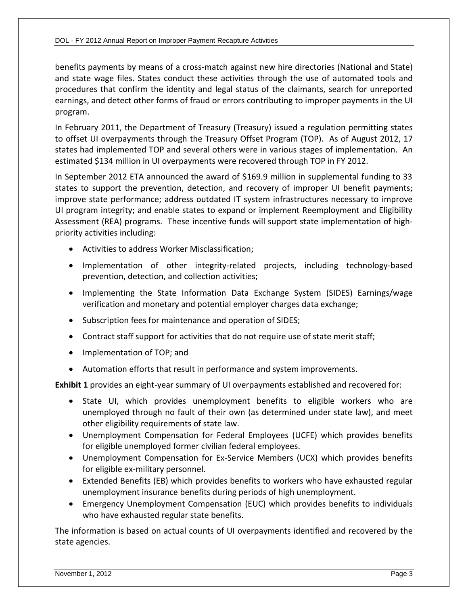benefits payments by means of a cross-match against new hire directories (National and State) and state wage files. States conduct these activities through the use of automated tools and procedures that confirm the identity and legal status of the claimants, search for unreported earnings, and detect other forms of fraud or errors contributing to improper payments in the UI program.

In February 2011, the Department of Treasury (Treasury) issued a regulation permitting states to offset UI overpayments through the Treasury Offset Program (TOP). As of August 2012, 17 states had implemented TOP and several others were in various stages of implementation. An estimated \$134 million in UI overpayments were recovered through TOP in FY 2012.

In September 2012 ETA announced the award of \$169.9 million in supplemental funding to 33 states to support the prevention, detection, and recovery of improper UI benefit payments; improve state performance; address outdated IT system infrastructures necessary to improve UI program integrity; and enable states to expand or implement Reemployment and Eligibility Assessment (REA) programs. These incentive funds will support state implementation of highpriority activities including:

- Activities to address Worker Misclassification;
- Implementation of other integrity-related projects, including technology-based prevention, detection, and collection activities;
- Implementing the State Information Data Exchange System (SIDES) Earnings/wage verification and monetary and potential employer charges data exchange;
- Subscription fees for maintenance and operation of SIDES;
- Contract staff support for activities that do not require use of state merit staff;
- Implementation of TOP; and
- Automation efforts that result in performance and system improvements.

**Exhibit 1** provides an eight-year summary of UI overpayments established and recovered for:

- State UI, which provides unemployment benefits to eligible workers who are unemployed through no fault of their own (as determined under state law), and meet other eligibility requirements of state law.
- Unemployment Compensation for Federal Employees (UCFE) which provides benefits for eligible unemployed former civilian federal employees.
- Unemployment Compensation for Ex-Service Members (UCX) which provides benefits for eligible ex-military personnel.
- Extended Benefits (EB) which provides benefits to workers who have exhausted regular unemployment insurance benefits during periods of high unemployment.
- Emergency Unemployment Compensation (EUC) which provides benefits to individuals who have exhausted regular state benefits.

The information is based on actual counts of UI overpayments identified and recovered by the state agencies.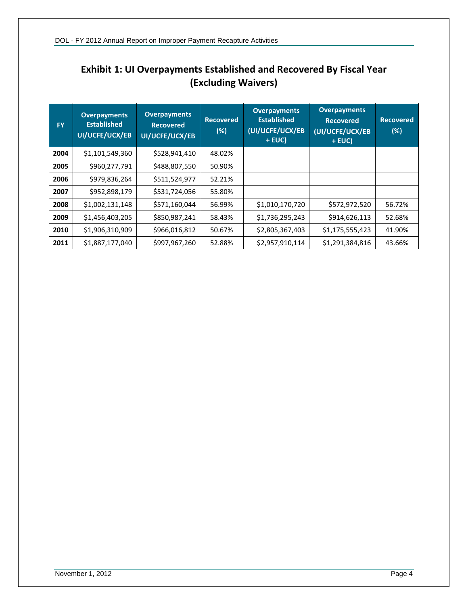| <b>FY</b> | <b>Overpayments</b><br><b>Established</b><br>UI/UCFE/UCX/EB | <b>Overpayments</b><br><b>Recovered</b><br>UI/UCFE/UCX/EB | <b>Recovered</b><br>(%) | <b>Overpayments</b><br><b>Established</b><br>(UI/UCFE/UCX/EB<br>+ EUC) | <b>Overpayments</b><br><b>Recovered</b><br>(UI/UCFE/UCX/EB<br>$+ EUC$ | <b>Recovered</b><br>(%) |
|-----------|-------------------------------------------------------------|-----------------------------------------------------------|-------------------------|------------------------------------------------------------------------|-----------------------------------------------------------------------|-------------------------|
| 2004      | \$1,101,549,360                                             | \$528,941,410                                             | 48.02%                  |                                                                        |                                                                       |                         |
| 2005      | \$960,277,791                                               | \$488,807,550                                             | 50.90%                  |                                                                        |                                                                       |                         |
| 2006      | \$979,836,264                                               | \$511,524,977                                             | 52.21%                  |                                                                        |                                                                       |                         |
| 2007      | \$952,898,179                                               | \$531,724,056                                             | 55.80%                  |                                                                        |                                                                       |                         |
| 2008      | \$1,002,131,148                                             | \$571,160,044                                             | 56.99%                  | \$1,010,170,720                                                        | \$572,972,520                                                         | 56.72%                  |
| 2009      | \$1,456,403,205                                             | \$850,987,241                                             | 58.43%                  | \$1,736,295,243                                                        | \$914,626,113                                                         | 52.68%                  |
| 2010      | \$1,906,310,909                                             | \$966,016,812                                             | 50.67%                  | \$2,805,367,403                                                        | \$1,175,555,423                                                       | 41.90%                  |
| 2011      | \$1,887,177,040                                             | \$997,967,260                                             | 52.88%                  | \$2,957,910,114                                                        | \$1,291,384,816                                                       | 43.66%                  |

### **Exhibit 1: UI Overpayments Established and Recovered By Fiscal Year (Excluding Waivers)**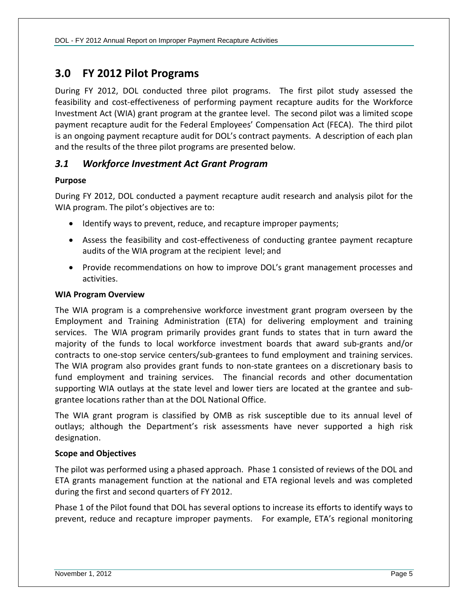### <span id="page-6-0"></span>**3.0 FY 2012 Pilot Programs**

During FY 2012, DOL conducted three pilot programs. The first pilot study assessed the feasibility and cost-effectiveness of performing payment recapture audits for the Workforce Investment Act (WIA) grant program at the grantee level. The second pilot was a limited scope payment recapture audit for the Federal Employees' Compensation Act (FECA). The third pilot is an ongoing payment recapture audit for DOL's contract payments. A description of each plan and the results of the three pilot programs are presented below.

### <span id="page-6-1"></span>*3.1 Workforce Investment Act Grant Program*

#### **Purpose**

During FY 2012, DOL conducted a payment recapture audit research and analysis pilot for the WIA program. The pilot's objectives are to:

- Identify ways to prevent, reduce, and recapture improper payments;
- Assess the feasibility and cost-effectiveness of conducting grantee payment recapture audits of the WIA program at the recipient level; and
- Provide recommendations on how to improve DOL's grant management processes and activities.

#### **WIA Program Overview**

The WIA program is a comprehensive workforce investment grant program overseen by the Employment and Training Administration (ETA) for delivering employment and training services. The WIA program primarily provides grant funds to states that in turn award the majority of the funds to local workforce investment boards that award sub-grants and/or contracts to one-stop service centers/sub-grantees to fund employment and training services. The WIA program also provides grant funds to non-state grantees on a discretionary basis to fund employment and training services. The financial records and other documentation supporting WIA outlays at the state level and lower tiers are located at the grantee and subgrantee locations rather than at the DOL National Office.

The WIA grant program is classified by OMB as risk susceptible due to its annual level of outlays; although the Department's risk assessments have never supported a high risk designation.

#### **Scope and Objectives**

The pilot was performed using a phased approach. Phase 1 consisted of reviews of the DOL and ETA grants management function at the national and ETA regional levels and was completed during the first and second quarters of FY 2012.

Phase 1 of the Pilot found that DOL has several options to increase its efforts to identify ways to prevent, reduce and recapture improper payments. For example, ETA's regional monitoring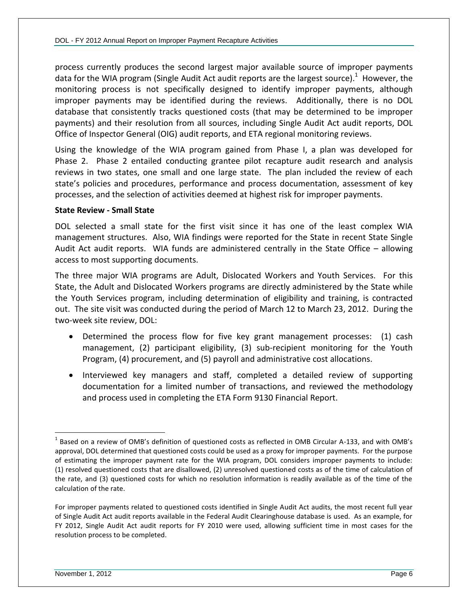process currently produces the second largest major available source of improper payments data for the WIA program (Single Audit Act audit reports are the largest source).<sup>1</sup> However, the monitoring process is not specifically designed to identify improper payments, although improper payments may be identified during the reviews. Additionally, there is no DOL database that consistently tracks questioned costs (that may be determined to be improper payments) and their resolution from all sources, including Single Audit Act audit reports, DOL Office of Inspector General (OIG) audit reports, and ETA regional monitoring reviews.

Using the knowledge of the WIA program gained from Phase I, a plan was developed for Phase 2. Phase 2 entailed conducting grantee pilot recapture audit research and analysis reviews in two states, one small and one large state. The plan included the review of each state's policies and procedures, performance and process documentation, assessment of key processes, and the selection of activities deemed at highest risk for improper payments.

#### **State Review - Small State**

DOL selected a small state for the first visit since it has one of the least complex WIA management structures. Also, WIA findings were reported for the State in recent State Single Audit Act audit reports. WIA funds are administered centrally in the State Office – allowing access to most supporting documents.

The three major WIA programs are Adult, Dislocated Workers and Youth Services. For this State, the Adult and Dislocated Workers programs are directly administered by the State while the Youth Services program, including determination of eligibility and training, is contracted out. The site visit was conducted during the period of March 12 to March 23, 2012. During the two-week site review, DOL:

- Determined the process flow for five key grant management processes: (1) cash management, (2) participant eligibility, (3) sub-recipient monitoring for the Youth Program, (4) procurement, and (5) payroll and administrative cost allocations.
- Interviewed key managers and staff, completed a detailed review of supporting documentation for a limited number of transactions, and reviewed the methodology and process used in completing the ETA Form 9130 Financial Report.

 $^1$  Based on a review of OMB's definition of questioned costs as reflected in OMB Circular A-133, and with OMB's approval, DOL determined that questioned costs could be used as a proxy for improper payments. For the purpose of estimating the improper payment rate for the WIA program, DOL considers improper payments to include: (1) resolved questioned costs that are disallowed, (2) unresolved questioned costs as of the time of calculation of the rate, and (3) questioned costs for which no resolution information is readily available as of the time of the calculation of the rate.

For improper payments related to questioned costs identified in Single Audit Act audits, the most recent full year of Single Audit Act audit reports available in the Federal Audit Clearinghouse database is used. As an example, for FY 2012, Single Audit Act audit reports for FY 2010 were used, allowing sufficient time in most cases for the resolution process to be completed.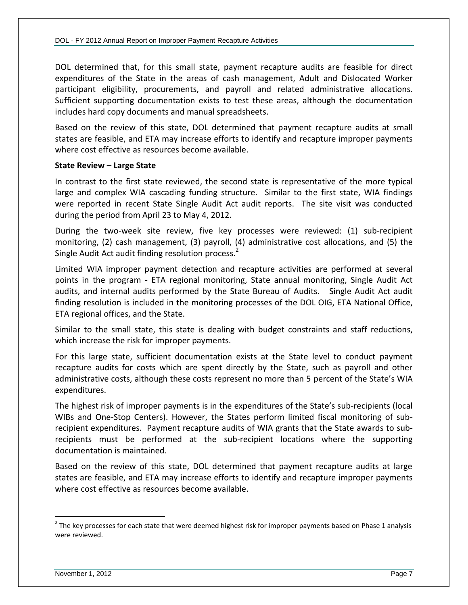DOL determined that, for this small state, payment recapture audits are feasible for direct expenditures of the State in the areas of cash management, Adult and Dislocated Worker participant eligibility, procurements, and payroll and related administrative allocations. Sufficient supporting documentation exists to test these areas, although the documentation includes hard copy documents and manual spreadsheets.

Based on the review of this state, DOL determined that payment recapture audits at small states are feasible, and ETA may increase efforts to identify and recapture improper payments where cost effective as resources become available.

#### **State Review – Large State**

In contrast to the first state reviewed, the second state is representative of the more typical large and complex WIA cascading funding structure. Similar to the first state, WIA findings were reported in recent State Single Audit Act audit reports. The site visit was conducted during the period from April 23 to May 4, 2012.

During the two-week site review, five key processes were reviewed: (1) sub-recipient monitoring, (2) cash management, (3) payroll, (4) administrative cost allocations, and (5) the Single Audit Act audit finding resolution process.<sup>2</sup>

Limited WIA improper payment detection and recapture activities are performed at several points in the program - ETA regional monitoring, State annual monitoring, Single Audit Act audits, and internal audits performed by the State Bureau of Audits. Single Audit Act audit finding resolution is included in the monitoring processes of the DOL OIG, ETA National Office, ETA regional offices, and the State.

Similar to the small state, this state is dealing with budget constraints and staff reductions, which increase the risk for improper payments.

For this large state, sufficient documentation exists at the State level to conduct payment recapture audits for costs which are spent directly by the State, such as payroll and other administrative costs, although these costs represent no more than 5 percent of the State's WIA expenditures.

The highest risk of improper payments is in the expenditures of the State's sub-recipients (local WIBs and One-Stop Centers). However, the States perform limited fiscal monitoring of subrecipient expenditures. Payment recapture audits of WIA grants that the State awards to subrecipients must be performed at the sub-recipient locations where the supporting documentation is maintained.

Based on the review of this state, DOL determined that payment recapture audits at large states are feasible, and ETA may increase efforts to identify and recapture improper payments where cost effective as resources become available.

 $^2$  The key processes for each state that were deemed highest risk for improper payments based on Phase 1 analysis were reviewed.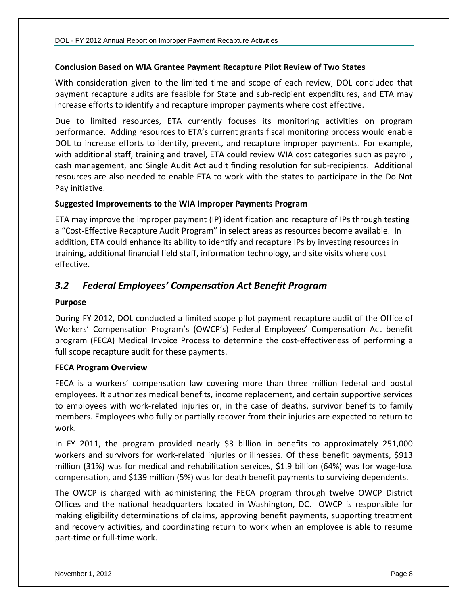#### **Conclusion Based on WIA Grantee Payment Recapture Pilot Review of Two States**

With consideration given to the limited time and scope of each review, DOL concluded that payment recapture audits are feasible for State and sub-recipient expenditures, and ETA may increase efforts to identify and recapture improper payments where cost effective.

Due to limited resources, ETA currently focuses its monitoring activities on program performance. Adding resources to ETA's current grants fiscal monitoring process would enable DOL to increase efforts to identify, prevent, and recapture improper payments. For example, with additional staff, training and travel, ETA could review WIA cost categories such as payroll, cash management, and Single Audit Act audit finding resolution for sub-recipients. Additional resources are also needed to enable ETA to work with the states to participate in the Do Not Pay initiative.

#### **Suggested Improvements to the WIA Improper Payments Program**

ETA may improve the improper payment (IP) identification and recapture of IPs through testing a "Cost-Effective Recapture Audit Program" in select areas as resources become available. In addition, ETA could enhance its ability to identify and recapture IPs by investing resources in training, additional financial field staff, information technology, and site visits where cost effective.

### <span id="page-9-0"></span>*3.2 Federal Employees' Compensation Act Benefit Program*

#### **Purpose**

During FY 2012, DOL conducted a limited scope pilot payment recapture audit of the Office of Workers' Compensation Program's (OWCP's) Federal Employees' Compensation Act benefit program (FECA) Medical Invoice Process to determine the cost-effectiveness of performing a full scope recapture audit for these payments.

#### **FECA Program Overview**

FECA is a workers' compensation law covering more than three million federal and postal employees. It authorizes medical benefits, income replacement, and certain supportive services to employees with work-related injuries or, in the case of deaths, survivor benefits to family members. Employees who fully or partially recover from their injuries are expected to return to work.

In FY 2011, the program provided nearly \$3 billion in benefits to approximately 251,000 workers and survivors for work-related injuries or illnesses. Of these benefit payments, \$913 million (31%) was for medical and rehabilitation services, \$1.9 billion (64%) was for wage-loss compensation, and \$139 million (5%) was for death benefit payments to surviving dependents.

The OWCP is charged with administering the FECA program through twelve OWCP District Offices and the national headquarters located in Washington, DC. OWCP is responsible for making eligibility determinations of claims, approving benefit payments, supporting treatment and recovery activities, and coordinating return to work when an employee is able to resume part-time or full-time work.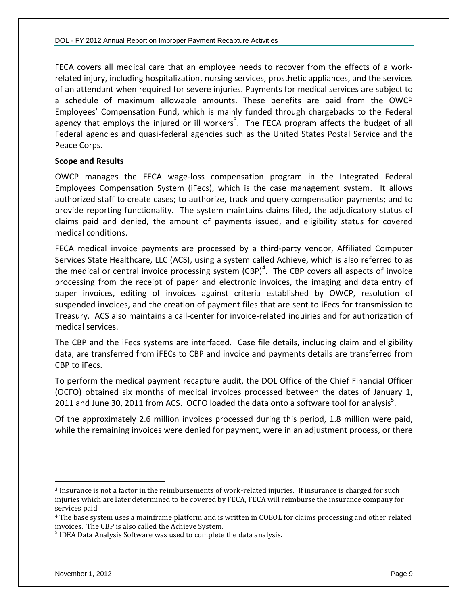FECA covers all medical care that an employee needs to recover from the effects of a workrelated injury, including hospitalization, nursing services, prosthetic appliances, and the services of an attendant when required for severe injuries. Payments for medical services are subject to a schedule of maximum allowable amounts. These benefits are paid from the OWCP Employees' Compensation Fund, which is mainly funded through chargebacks to the Federal agency that employs the injured or ill workers<sup>3</sup>. The FECA program affects the budget of all Federal agencies and quasi-federal agencies such as the United States Postal Service and the Peace Corps.

#### **Scope and Results**

OWCP manages the FECA wage-loss compensation program in the Integrated Federal Employees Compensation System (iFecs), which is the case management system. It allows authorized staff to create cases; to authorize, track and query compensation payments; and to provide reporting functionality. The system maintains claims filed, the adjudicatory status of claims paid and denied, the amount of payments issued, and eligibility status for covered medical conditions.

FECA medical invoice payments are processed by a third-party vendor, Affiliated Computer Services State Healthcare, LLC (ACS), using a system called Achieve, which is also referred to as the medical or central invoice processing system (CBP)<sup>4</sup>. The CBP covers all aspects of invoice processing from the receipt of paper and electronic invoices, the imaging and data entry of paper invoices, editing of invoices against criteria established by OWCP, resolution of suspended invoices, and the creation of payment files that are sent to iFecs for transmission to Treasury. ACS also maintains a call-center for invoice-related inquiries and for authorization of medical services.

The CBP and the iFecs systems are interfaced. Case file details, including claim and eligibility data, are transferred from iFECs to CBP and invoice and payments details are transferred from CBP to iFecs.

To perform the medical payment recapture audit, the DOL Office of the Chief Financial Officer (OCFO) obtained six months of medical invoices processed between the dates of January 1, 2011 and June 30, 2011 from ACS. OCFO loaded the data onto a software tool for analysis<sup>5</sup>.

Of the approximately 2.6 million invoices processed during this period, 1.8 million were paid, while the remaining invoices were denied for payment, were in an adjustment process, or there

<sup>3</sup> Insurance is not a factor in the reimbursements of work-related injuries. If insurance is charged for such injuries which are later determined to be covered by FECA, FECA will reimburse the insurance company for services paid.

<sup>&</sup>lt;sup>4</sup> The base system uses a mainframe platform and is written in COBOL for claims processing and other related invoices. The CBP is also called the Achieve System.

<sup>&</sup>lt;sup>5</sup> IDEA Data Analysis Software was used to complete the data analysis.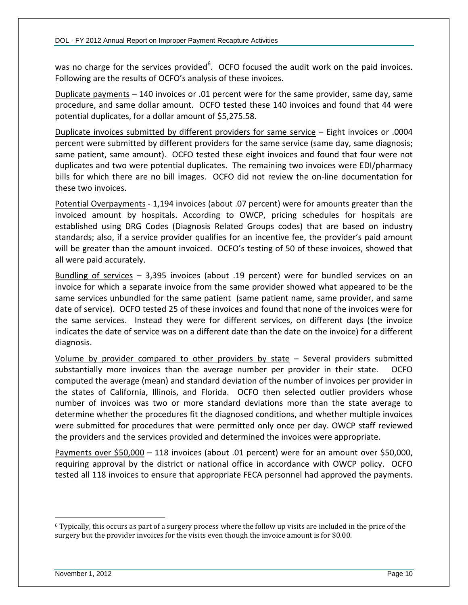was no charge for the services provided<sup>6</sup>. OCFO focused the audit work on the paid invoices. Following are the results of OCFO's analysis of these invoices.

Duplicate payments – 140 invoices or .01 percent were for the same provider, same day, same procedure, and same dollar amount. OCFO tested these 140 invoices and found that 44 were potential duplicates, for a dollar amount of \$5,275.58.

Duplicate invoices submitted by different providers for same service – Eight invoices or .0004 percent were submitted by different providers for the same service (same day, same diagnosis; same patient, same amount). OCFO tested these eight invoices and found that four were not duplicates and two were potential duplicates. The remaining two invoices were EDI/pharmacy bills for which there are no bill images. OCFO did not review the on-line documentation for these two invoices.

Potential Overpayments - 1,194 invoices (about .07 percent) were for amounts greater than the invoiced amount by hospitals. According to OWCP, pricing schedules for hospitals are established using DRG Codes (Diagnosis Related Groups codes) that are based on industry standards; also, if a service provider qualifies for an incentive fee, the provider's paid amount will be greater than the amount invoiced. OCFO's testing of 50 of these invoices, showed that all were paid accurately.

Bundling of services – 3,395 invoices (about .19 percent) were for bundled services on an invoice for which a separate invoice from the same provider showed what appeared to be the same services unbundled for the same patient (same patient name, same provider, and same date of service). OCFO tested 25 of these invoices and found that none of the invoices were for the same services. Instead they were for different services, on different days (the invoice indicates the date of service was on a different date than the date on the invoice) for a different diagnosis.

Volume by provider compared to other providers by state – Several providers submitted substantially more invoices than the average number per provider in their state. OCFO computed the average (mean) and standard deviation of the number of invoices per provider in the states of California, Illinois, and Florida. OCFO then selected outlier providers whose number of invoices was two or more standard deviations more than the state average to determine whether the procedures fit the diagnosed conditions, and whether multiple invoices were submitted for procedures that were permitted only once per day. OWCP staff reviewed the providers and the services provided and determined the invoices were appropriate.

Payments over \$50,000 – 118 invoices (about .01 percent) were for an amount over \$50,000, requiring approval by the district or national office in accordance with OWCP policy. OCFO tested all 118 invoices to ensure that appropriate FECA personnel had approved the payments.

<sup>6</sup> Typically, this occurs as part of a surgery process where the follow up visits are included in the price of the surgery but the provider invoices for the visits even though the invoice amount is for \$0.00.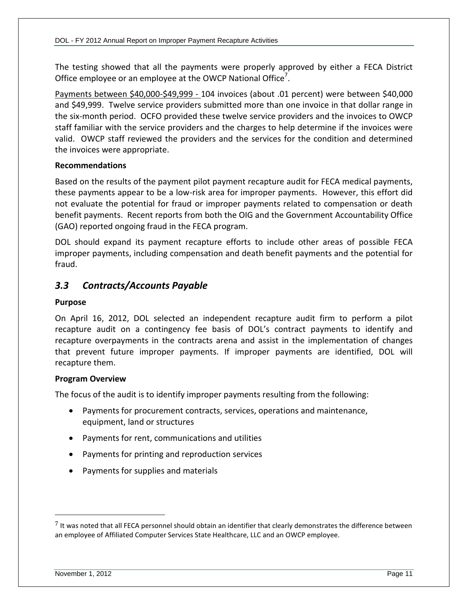The testing showed that all the payments were properly approved by either a FECA District Office employee or an employee at the OWCP National Office<sup>7</sup>.

Payments between \$40,000-\$49,999 - 104 invoices (about .01 percent) were between \$40,000 and \$49,999. Twelve service providers submitted more than one invoice in that dollar range in the six-month period. OCFO provided these twelve service providers and the invoices to OWCP staff familiar with the service providers and the charges to help determine if the invoices were valid. OWCP staff reviewed the providers and the services for the condition and determined the invoices were appropriate.

#### **Recommendations**

Based on the results of the payment pilot payment recapture audit for FECA medical payments, these payments appear to be a low-risk area for improper payments. However, this effort did not evaluate the potential for fraud or improper payments related to compensation or death benefit payments. Recent reports from both the OIG and the Government Accountability Office (GAO) reported ongoing fraud in the FECA program.

DOL should expand its payment recapture efforts to include other areas of possible FECA improper payments, including compensation and death benefit payments and the potential for fraud.

### <span id="page-12-0"></span>*3.3 Contracts/Accounts Payable*

#### **Purpose**

On April 16, 2012, DOL selected an independent recapture audit firm to perform a pilot recapture audit on a contingency fee basis of DOL's contract payments to identify and recapture overpayments in the contracts arena and assist in the implementation of changes that prevent future improper payments. If improper payments are identified, DOL will recapture them.

#### **Program Overview**

The focus of the audit is to identify improper payments resulting from the following:

- Payments for procurement contracts, services, operations and maintenance, equipment, land or structures
- Payments for rent, communications and utilities
- Payments for printing and reproduction services
- Payments for supplies and materials

 $7$  It was noted that all FECA personnel should obtain an identifier that clearly demonstrates the difference between an employee of Affiliated Computer Services State Healthcare, LLC and an OWCP employee.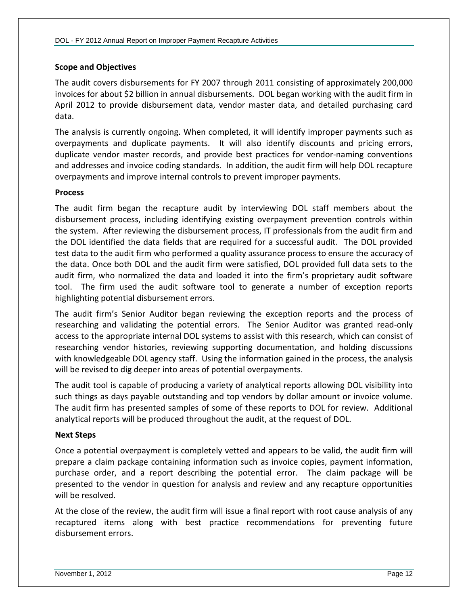#### **Scope and Objectives**

The audit covers disbursements for FY 2007 through 2011 consisting of approximately 200,000 invoices for about \$2 billion in annual disbursements. DOL began working with the audit firm in April 2012 to provide disbursement data, vendor master data, and detailed purchasing card data.

The analysis is currently ongoing. When completed, it will identify improper payments such as overpayments and duplicate payments. It will also identify discounts and pricing errors, duplicate vendor master records, and provide best practices for vendor-naming conventions and addresses and invoice coding standards. In addition, the audit firm will help DOL recapture overpayments and improve internal controls to prevent improper payments.

#### **Process**

The audit firm began the recapture audit by interviewing DOL staff members about the disbursement process, including identifying existing overpayment prevention controls within the system. After reviewing the disbursement process, IT professionals from the audit firm and the DOL identified the data fields that are required for a successful audit. The DOL provided test data to the audit firm who performed a quality assurance process to ensure the accuracy of the data. Once both DOL and the audit firm were satisfied, DOL provided full data sets to the audit firm, who normalized the data and loaded it into the firm's proprietary audit software tool. The firm used the audit software tool to generate a number of exception reports highlighting potential disbursement errors.

The audit firm's Senior Auditor began reviewing the exception reports and the process of researching and validating the potential errors. The Senior Auditor was granted read-only access to the appropriate internal DOL systems to assist with this research, which can consist of researching vendor histories, reviewing supporting documentation, and holding discussions with knowledgeable DOL agency staff. Using the information gained in the process, the analysis will be revised to dig deeper into areas of potential overpayments.

The audit tool is capable of producing a variety of analytical reports allowing DOL visibility into such things as days payable outstanding and top vendors by dollar amount or invoice volume. The audit firm has presented samples of some of these reports to DOL for review. Additional analytical reports will be produced throughout the audit, at the request of DOL.

#### **Next Steps**

Once a potential overpayment is completely vetted and appears to be valid, the audit firm will prepare a claim package containing information such as invoice copies, payment information, purchase order, and a report describing the potential error. The claim package will be presented to the vendor in question for analysis and review and any recapture opportunities will be resolved.

At the close of the review, the audit firm will issue a final report with root cause analysis of any recaptured items along with best practice recommendations for preventing future disbursement errors.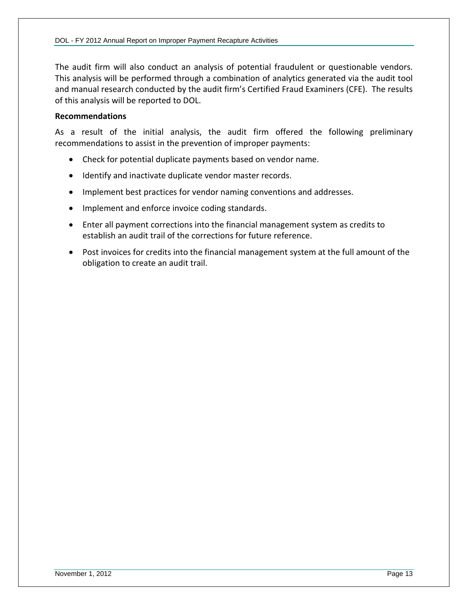The audit firm will also conduct an analysis of potential fraudulent or questionable vendors. This analysis will be performed through a combination of analytics generated via the audit tool and manual research conducted by the audit firm's Certified Fraud Examiners (CFE). The results of this analysis will be reported to DOL.

#### **Recommendations**

As a result of the initial analysis, the audit firm offered the following preliminary recommendations to assist in the prevention of improper payments:

- Check for potential duplicate payments based on vendor name.
- Identify and inactivate duplicate vendor master records.
- Implement best practices for vendor naming conventions and addresses.
- Implement and enforce invoice coding standards.
- Enter all payment corrections into the financial management system as credits to establish an audit trail of the corrections for future reference.
- Post invoices for credits into the financial management system at the full amount of the obligation to create an audit trail.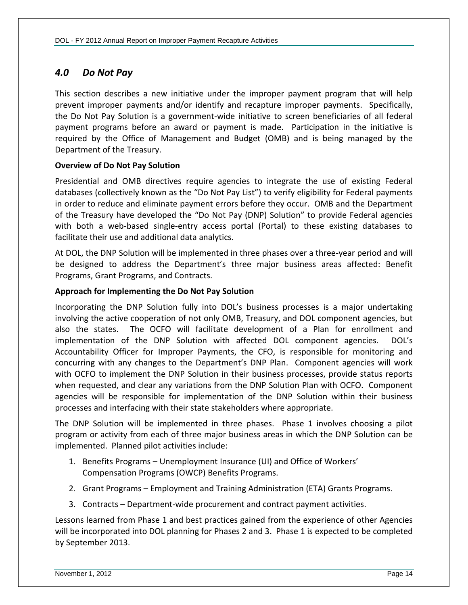### <span id="page-15-0"></span>*4.0 Do Not Pay*

This section describes a new initiative under the improper payment program that will help prevent improper payments and/or identify and recapture improper payments. Specifically, the Do Not Pay Solution is a government-wide initiative to screen beneficiaries of all federal payment programs before an award or payment is made. Participation in the initiative is required by the Office of Management and Budget (OMB) and is being managed by the Department of the Treasury.

#### **Overview of Do Not Pay Solution**

Presidential and OMB directives require agencies to integrate the use of existing Federal databases (collectively known as the "Do Not Pay List") to verify eligibility for Federal payments in order to reduce and eliminate payment errors before they occur. OMB and the Department of the Treasury have developed the "Do Not Pay (DNP) Solution" to provide Federal agencies with both a web-based single-entry access portal (Portal) to these existing databases to facilitate their use and additional data analytics.

At DOL, the DNP Solution will be implemented in three phases over a three-year period and will be designed to address the Department's three major business areas affected: Benefit Programs, Grant Programs, and Contracts.

#### **Approach for Implementing the Do Not Pay Solution**

Incorporating the DNP Solution fully into DOL's business processes is a major undertaking involving the active cooperation of not only OMB, Treasury, and DOL component agencies, but also the states. The OCFO will facilitate development of a Plan for enrollment and implementation of the DNP Solution with affected DOL component agencies. DOL's Accountability Officer for Improper Payments, the CFO, is responsible for monitoring and concurring with any changes to the Department's DNP Plan. Component agencies will work with OCFO to implement the DNP Solution in their business processes, provide status reports when requested, and clear any variations from the DNP Solution Plan with OCFO. Component agencies will be responsible for implementation of the DNP Solution within their business processes and interfacing with their state stakeholders where appropriate.

The DNP Solution will be implemented in three phases. Phase 1 involves choosing a pilot program or activity from each of three major business areas in which the DNP Solution can be implemented. Planned pilot activities include:

- 1. Benefits Programs Unemployment Insurance (UI) and Office of Workers' Compensation Programs (OWCP) Benefits Programs.
- 2. Grant Programs Employment and Training Administration (ETA) Grants Programs.
- 3. Contracts Department-wide procurement and contract payment activities.

Lessons learned from Phase 1 and best practices gained from the experience of other Agencies will be incorporated into DOL planning for Phases 2 and 3. Phase 1 is expected to be completed by September 2013.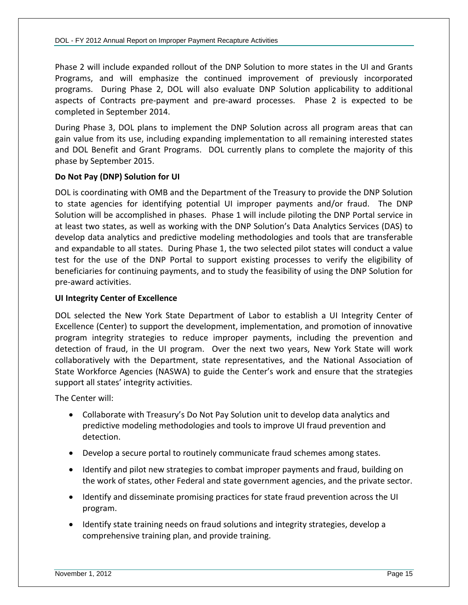Phase 2 will include expanded rollout of the DNP Solution to more states in the UI and Grants Programs, and will emphasize the continued improvement of previously incorporated programs. During Phase 2, DOL will also evaluate DNP Solution applicability to additional aspects of Contracts pre-payment and pre-award processes. Phase 2 is expected to be completed in September 2014.

During Phase 3, DOL plans to implement the DNP Solution across all program areas that can gain value from its use, including expanding implementation to all remaining interested states and DOL Benefit and Grant Programs. DOL currently plans to complete the majority of this phase by September 2015.

#### **Do Not Pay (DNP) Solution for UI**

DOL is coordinating with OMB and the Department of the Treasury to provide the DNP Solution to state agencies for identifying potential UI improper payments and/or fraud. The DNP Solution will be accomplished in phases. Phase 1 will include piloting the DNP Portal service in at least two states, as well as working with the DNP Solution's Data Analytics Services (DAS) to develop data analytics and predictive modeling methodologies and tools that are transferable and expandable to all states. During Phase 1, the two selected pilot states will conduct a value test for the use of the DNP Portal to support existing processes to verify the eligibility of beneficiaries for continuing payments, and to study the feasibility of using the DNP Solution for pre-award activities.

#### **UI Integrity Center of Excellence**

DOL selected the New York State Department of Labor to establish a UI Integrity Center of Excellence (Center) to support the development, implementation, and promotion of innovative program integrity strategies to reduce improper payments, including the prevention and detection of fraud, in the UI program. Over the next two years, New York State will work collaboratively with the Department, state representatives, and the National Association of State Workforce Agencies (NASWA) to guide the Center's work and ensure that the strategies support all states' integrity activities.

The Center will:

- Collaborate with Treasury's Do Not Pay Solution unit to develop data analytics and predictive modeling methodologies and tools to improve UI fraud prevention and detection.
- Develop a secure portal to routinely communicate fraud schemes among states.
- Identify and pilot new strategies to combat improper payments and fraud, building on the work of states, other Federal and state government agencies, and the private sector.
- Identify and disseminate promising practices for state fraud prevention across the UI program.
- Identify state training needs on fraud solutions and integrity strategies, develop a comprehensive training plan, and provide training.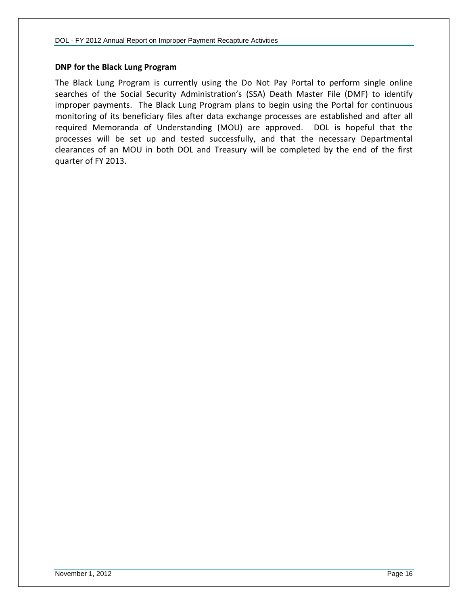#### **DNP for the Black Lung Program**

The Black Lung Program is currently using the Do Not Pay Portal to perform single online searches of the Social Security Administration's (SSA) Death Master File (DMF) to identify improper payments. The Black Lung Program plans to begin using the Portal for continuous monitoring of its beneficiary files after data exchange processes are established and after all required Memoranda of Understanding (MOU) are approved. DOL is hopeful that the processes will be set up and tested successfully, and that the necessary Departmental clearances of an MOU in both DOL and Treasury will be completed by the end of the first quarter of FY 2013.